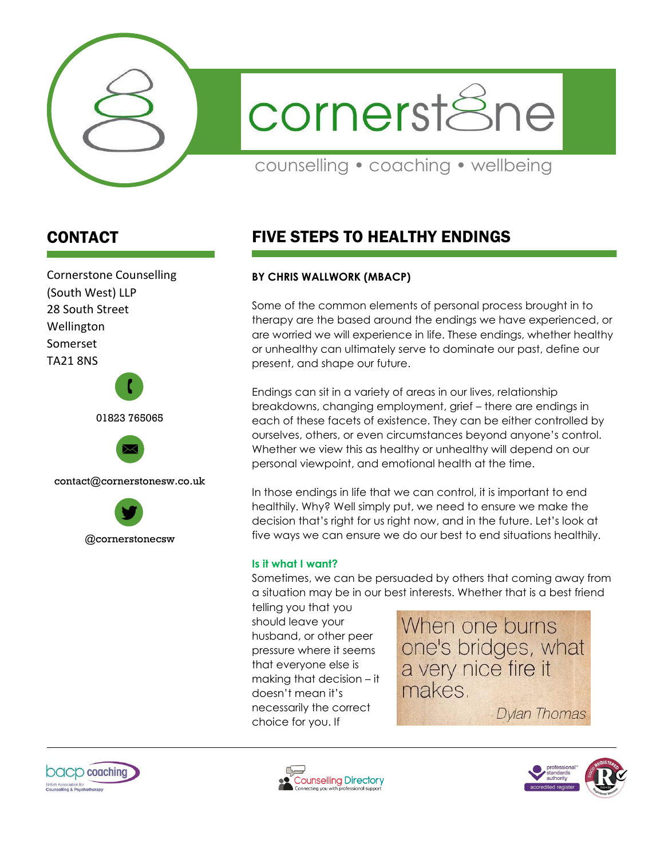

cornerstSne

counselling • coaching • wellbeing

# CONTACT

Cornerstone Counselling (South West) LLP 28 South Street Wellington Somerset TA21 8NS 01823 765065  $\mathbf{r}$ 

contact@cornerstonesw.co.uk



# FIVE STEPS TO HEALTHY ENDINGS

## **BY CHRIS WALLWORK (MBACP)**

Some of the common elements of personal process brought in to therapy are the based around the endings we have experienced, or are worried we will experience in life. These endings, whether healthy or unhealthy can ultimately serve to dominate our past, define our present, and shape our future.

Endings can sit in a variety of areas in our lives, relationship breakdowns, changing employment, grief – there are endings in each of these facets of existence. They can be either controlled by ourselves, others, or even circumstances beyond anyone's control. Whether we view this as healthy or unhealthy will depend on our personal viewpoint, and emotional health at the time.

In those endings in life that we can control, it is important to end healthily. Why? Well simply put, we need to ensure we make the decision that's right for us right now, and in the future. Let's look at five ways we can ensure we do our best to end situations healthily.

#### **Is it what I want?**

Sometimes, we can be persuaded by others that coming away from a situation may be in our best interests. Whether that is a best friend

telling you that you should leave your husband, or other peer pressure where it seems that everyone else is making that decision – it doesn't mean it's necessarily the correct choice for you. If

When one burns one's bridges, what a very nice fire it makes.

**Dylan Thomas** 





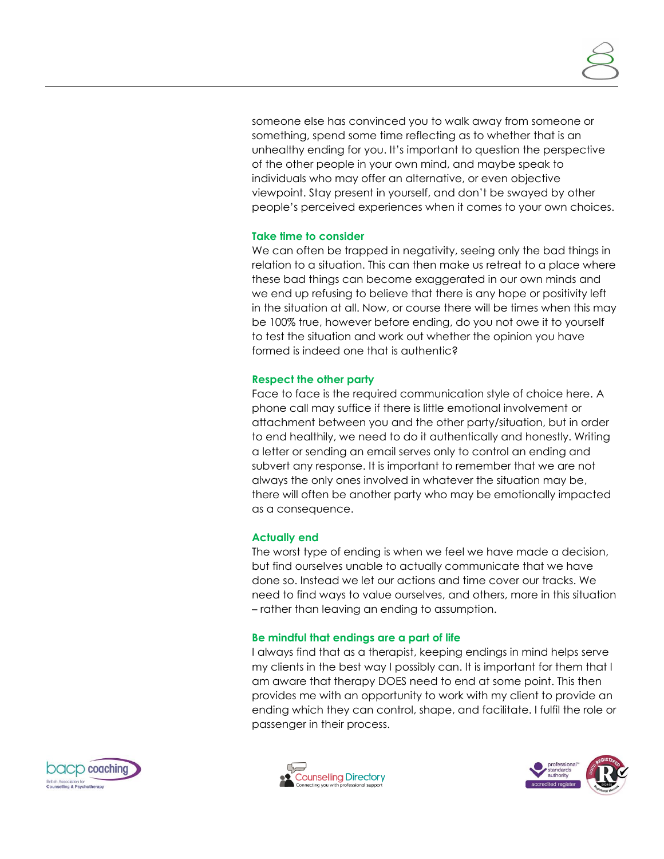someone else has convinced you to walk away from someone or something, spend some time reflecting as to whether that is an unhealthy ending for you. It's important to question the perspective of the other people in your own mind, and maybe speak to individuals who may offer an alternative, or even objective viewpoint. Stay present in yourself, and don't be swayed by other people's perceived experiences when it comes to your own choices.

#### **Take time to consider**

We can often be trapped in negativity, seeing only the bad things in relation to a situation. This can then make us retreat to a place where these bad things can become exaggerated in our own minds and we end up refusing to believe that there is any hope or positivity left in the situation at all. Now, or course there will be times when this may be 100% true, however before ending, do you not owe it to yourself to test the situation and work out whether the opinion you have formed is indeed one that is authentic?

#### **Respect the other party**

Face to face is the required communication style of choice here. A phone call may suffice if there is little emotional involvement or attachment between you and the other party/situation, but in order to end healthily, we need to do it authentically and honestly. Writing a letter or sending an email serves only to control an ending and subvert any response. It is important to remember that we are not always the only ones involved in whatever the situation may be, there will often be another party who may be emotionally impacted as a consequence.

## **Actually end**

The worst type of ending is when we feel we have made a decision, but find ourselves unable to actually communicate that we have done so. Instead we let our actions and time cover our tracks. We need to find ways to value ourselves, and others, more in this situation – rather than leaving an ending to assumption.

#### **Be mindful that endings are a part of life**

I always find that as a therapist, keeping endings in mind helps serve my clients in the best way I possibly can. It is important for them that I am aware that therapy DOES need to end at some point. This then provides me with an opportunity to work with my client to provide an ending which they can control, shape, and facilitate. I fulfil the role or passenger in their process.